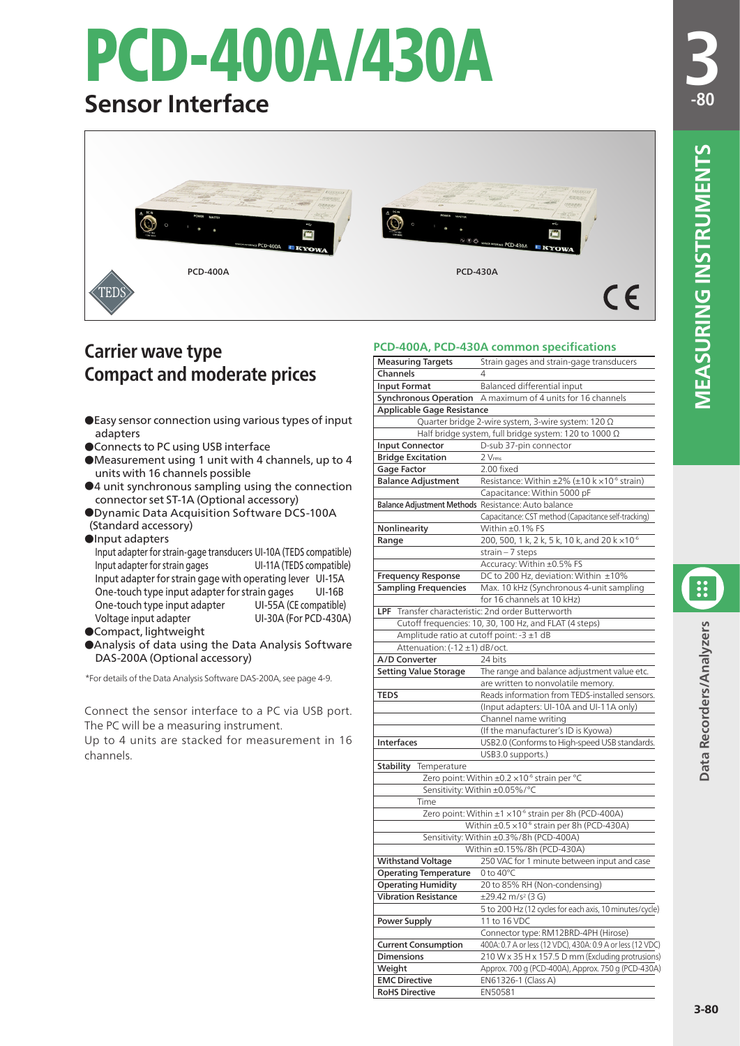# PCD-400A/430A

## **Sensor Interface**



### **Carrier wave type Compact and moderate prices**

- ●Easy sensor connection using various types of input adapters
- ●Connects to PC using USB interface
- ●Measurement using 1 unit with 4 channels, up to 4 units with 16 channels possible
- ●4 unit synchronous sampling using the connection connector set ST-1A (Optional accessory)
- ●Dynamic Data Acquisition Software DCS-100A (Standard accessory)
- ●Input adapters

Input adapter for strain-gage transducers UI-10A (TEDS compatible) Input adapter for strain gages UI-11A (TEDS compatible) Input adapter for strain gage with operating lever UI-15A One-touch type input adapter for strain gages UI-16B One-touch type input adapter UI-55A (CE compatible)<br>Voltage input adapter UI-30A (For PCD-430A UI-30A (For PCD-430A)

- ●Compact, lightweight
- ●Analysis of data using the Data Analysis Software DAS-200A (Optional accessory)

\*For details of the Data Analysis Software DAS-200A, see page 4-9.

Connect the sensor interface to a PC via USB port. The PC will be a measuring instrument.

Up to 4 units are stacked for measurement in 16 channels.

#### **PCD-400A, PCD-430A common specifications**

|                                                            | PCD-400A, PCD-450A Common specifications                            |  |  |  |
|------------------------------------------------------------|---------------------------------------------------------------------|--|--|--|
| <b>Measuring Targets</b><br>Channels                       | Strain gages and strain-gage transducers<br>4                       |  |  |  |
| <b>Input Format</b>                                        | Balanced differential input                                         |  |  |  |
|                                                            | A maximum of 4 units for 16 channels                                |  |  |  |
| <b>Synchronous Operation</b><br>Applicable Gage Resistance |                                                                     |  |  |  |
|                                                            | Quarter bridge 2-wire system, 3-wire system: 120 Ω                  |  |  |  |
|                                                            |                                                                     |  |  |  |
|                                                            | Half bridge system, full bridge system: 120 to 1000 Ω               |  |  |  |
| <b>Input Connector</b>                                     | D-sub 37-pin connector                                              |  |  |  |
| <b>Bridge Excitation</b>                                   | 2 Vrms                                                              |  |  |  |
| Gage Factor                                                | 2.00 fixed                                                          |  |  |  |
| <b>Balance Adjustment</b>                                  | Resistance: Within $\pm 2\%$ ( $\pm 10$ k $\times 10^{-6}$ strain)  |  |  |  |
|                                                            | Capacitance: Within 5000 pF                                         |  |  |  |
| Balance Adjustment Methods Resistance: Auto balance        |                                                                     |  |  |  |
|                                                            | Capacitance: CST method (Capacitance self-tracking)                 |  |  |  |
| Nonlinearity                                               | Within ±0.1% FS                                                     |  |  |  |
| Range                                                      | 200, 500, 1 k, 2 k, 5 k, 10 k, and 20 k × 10 <sup>-6</sup>          |  |  |  |
|                                                            | strain $-7$ steps                                                   |  |  |  |
|                                                            | Accuracy: Within ±0.5% FS                                           |  |  |  |
| <b>Frequency Response</b>                                  | DC to 200 Hz, deviation: Within ±10%                                |  |  |  |
| <b>Sampling Frequencies</b>                                | Max. 10 kHz (Synchronous 4-unit sampling                            |  |  |  |
|                                                            | for 16 channels at 10 kHz)                                          |  |  |  |
| LPF Transfer characteristic: 2nd order Butterworth         |                                                                     |  |  |  |
|                                                            | Cutoff frequencies: 10, 30, 100 Hz, and FLAT (4 steps)              |  |  |  |
| Amplitude ratio at cutoff point: -3 ±1 dB                  |                                                                     |  |  |  |
| Attenuation: (-12 ±1) dB/oct.                              |                                                                     |  |  |  |
| A/D Converter                                              | 24 bits                                                             |  |  |  |
| <b>Setting Value Storage</b>                               | The range and balance adjustment value etc.                         |  |  |  |
|                                                            | are written to nonvolatile memory.                                  |  |  |  |
| <b>TEDS</b>                                                | Reads information from TEDS-installed sensors.                      |  |  |  |
|                                                            | (Input adapters: UI-10A and UI-11A only)                            |  |  |  |
|                                                            | Channel name writing                                                |  |  |  |
|                                                            | (If the manufacturer's ID is Kyowa)                                 |  |  |  |
| Interfaces                                                 | USB2.0 (Conforms to High-speed USB standards.                       |  |  |  |
|                                                            | USB3.0 supports.)                                                   |  |  |  |
| <b>Stability</b><br>Temperature                            |                                                                     |  |  |  |
|                                                            | Zero point: Within ±0.2 ×10 <sup>-6</sup> strain per °C             |  |  |  |
|                                                            | Sensitivity: Within ±0.05%/°C                                       |  |  |  |
| Time                                                       |                                                                     |  |  |  |
|                                                            | Zero point: Within $\pm 1 \times 10^{-6}$ strain per 8h (PCD-400A)  |  |  |  |
|                                                            | Within $\pm$ 0.5 $\times$ 10 <sup>-6</sup> strain per 8h (PCD-430A) |  |  |  |
|                                                            | Sensitivity: Within ±0.3%/8h (PCD-400A)                             |  |  |  |
|                                                            | Within ±0.15%/8h (PCD-430A)                                         |  |  |  |
|                                                            |                                                                     |  |  |  |
| <b>Withstand Voltage</b>                                   | 250 VAC for 1 minute between input and case<br>0 to $40^{\circ}$ C  |  |  |  |
| <b>Operating Temperature</b>                               |                                                                     |  |  |  |
| <b>Operating Humidity</b>                                  | 20 to 85% RH (Non-condensing)                                       |  |  |  |
| <b>Vibration Resistance</b>                                | ±29.42 m/s <sup>2</sup> (3 G)                                       |  |  |  |
|                                                            | 5 to 200 Hz (12 cycles for each axis, 10 minutes/cycle)             |  |  |  |
| Power Supply                                               | 11 to 16 VDC                                                        |  |  |  |
|                                                            | Connector type: RM12BRD-4PH (Hirose)                                |  |  |  |
| <b>Current Consumption</b>                                 | 400A: 0.7 A or less (12 VDC), 430A: 0.9 A or less (12 VDC)          |  |  |  |
| <b>Dimensions</b>                                          | 210 W x 35 H x 157.5 D mm (Excluding protrusions)                   |  |  |  |
| Weight                                                     | Approx. 700 g (PCD-400A), Approx. 750 g (PCD-430A)                  |  |  |  |
| <b>EMC Directive</b>                                       | EN61326-1 (Class A)                                                 |  |  |  |
| <b>RoHS Directive</b>                                      | EN50581                                                             |  |  |  |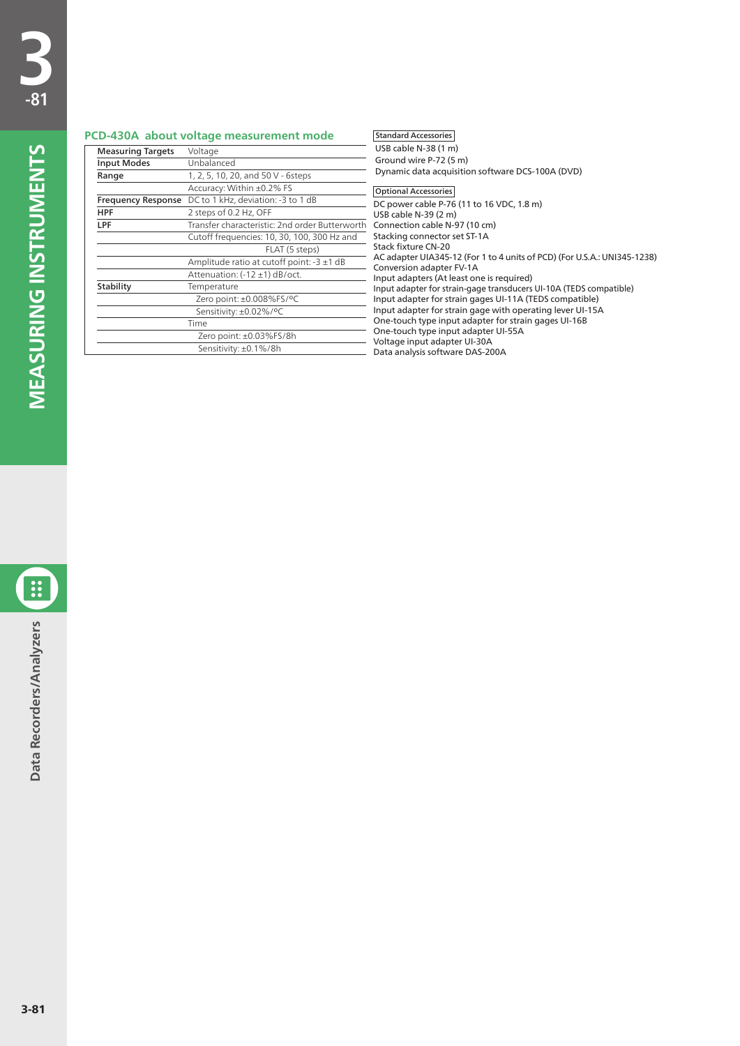#### **PCD-430A about voltage measurement mode**

| <b>Measuring Targets</b> | Voltage                                        |  |  |  |
|--------------------------|------------------------------------------------|--|--|--|
| <b>Input Modes</b>       | Unbalanced                                     |  |  |  |
| Range                    | 1, 2, 5, 10, 20, and 50 V - 6steps             |  |  |  |
|                          | Accuracy: Within ±0.2% FS                      |  |  |  |
| Frequency Response       | DC to 1 kHz, deviation: -3 to 1 dB             |  |  |  |
| HPF                      | 2 steps of 0.2 Hz, OFF                         |  |  |  |
| LPF                      | Transfer characteristic: 2nd order Butterworth |  |  |  |
|                          | Cutoff frequencies: 10, 30, 100, 300 Hz and    |  |  |  |
|                          | FLAT (5 steps)                                 |  |  |  |
|                          | Amplitude ratio at cutoff point: $-3 \pm 1$ dB |  |  |  |
|                          | Attenuation: (-12 ±1) dB/oct.                  |  |  |  |
| Stability                | Temperature                                    |  |  |  |
|                          | Zero point: ±0.008%FS/°C                       |  |  |  |
|                          | Sensitivity: ±0.02%/°C                         |  |  |  |
|                          | Time                                           |  |  |  |
|                          | Zero point: ±0.03%FS/8h                        |  |  |  |
|                          | Sensitivity: ±0.1%/8h                          |  |  |  |

#### Standard Accessories

USB cable N-38 (1 m) Ground wire P-72 (5 m) Dynamic data acquisition software DCS-100A (DVD) DC power cable P-76 (11 to 16 VDC, 1.8 m) USB cable N-39 (2 m) Connection cable N-97 (10 cm) Stacking connector set ST-1A Stack fixture CN-20 AC adapter UIA345-12 (For 1 to 4 units of PCD) (For U.S.A.: UNI345-1238) Conversion adapter FV-1A Input adapters (At least one is required) Input adapter for strain-gage transducers UI-10A (TEDS compatible) Input adapter for strain gages UI-11A (TEDS compatible) Input adapter for strain gage with operating lever UI-15A One-touch type input adapter for strain gages UI-16B One-touch type input adapter UI-55A Voltage input adapter UI-30A Data analysis software DAS-200A Optional Accessories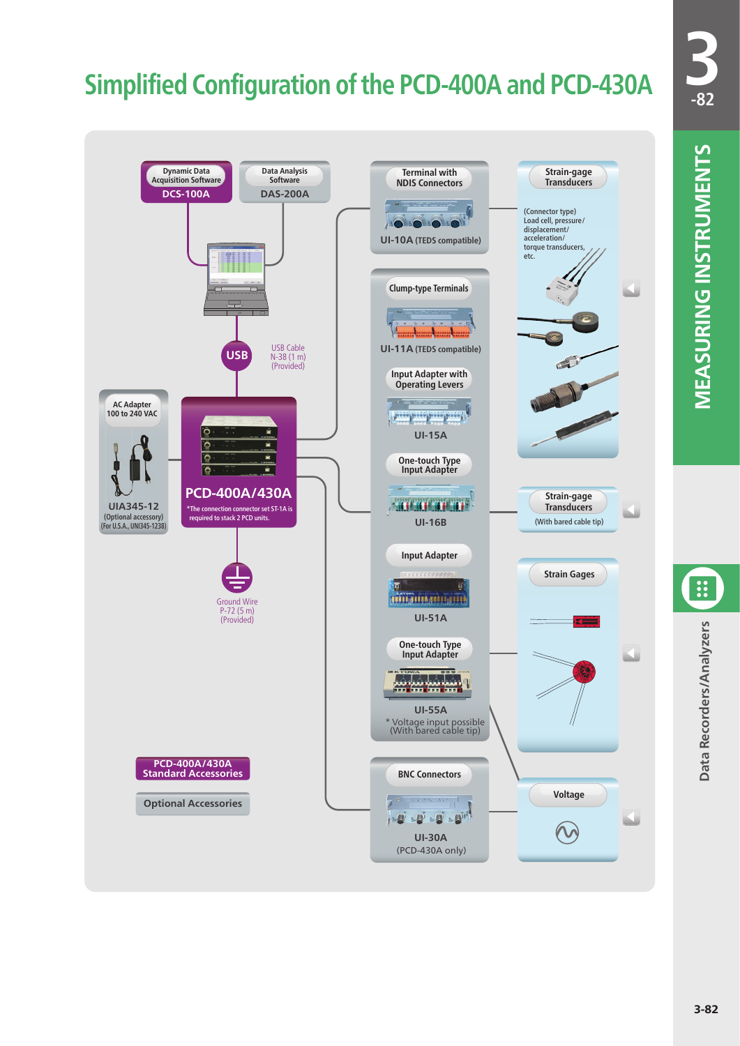## **Simplified Configuration of the PCD-400A and PCD-430A**